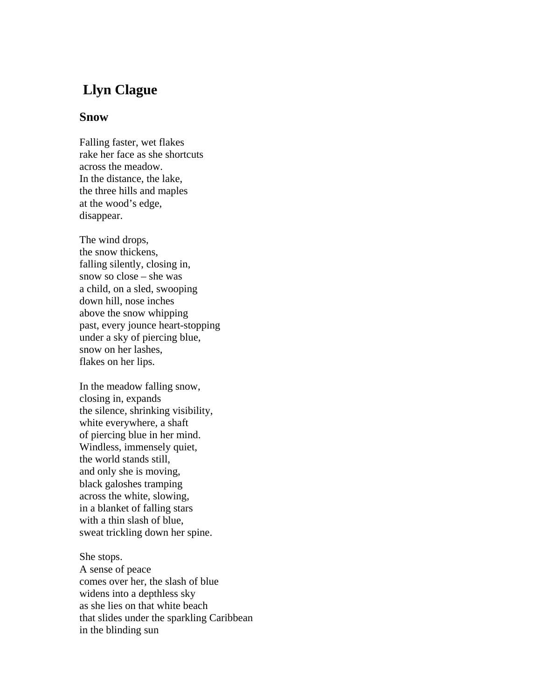## **Llyn Clague**

## **Snow**

Falling faster, wet flakes rake her face as she shortcuts across the meadow. In the distance, the lake, the three hills and maples at the wood's edge, disappear.

The wind drops, the snow thickens, falling silently, closing in, snow so close – she was a child, on a sled, swooping down hill, nose inches above the snow whipping past, every jounce heart-stopping under a sky of piercing blue, snow on her lashes, flakes on her lips.

In the meadow falling snow, closing in, expands the silence, shrinking visibility, white everywhere, a shaft of piercing blue in her mind. Windless, immensely quiet, the world stands still, and only she is moving, black galoshes tramping across the white, slowing, in a blanket of falling stars with a thin slash of blue, sweat trickling down her spine.

She stops.

A sense of peace comes over her, the slash of blue widens into a depthless sky as she lies on that white beach that slides under the sparkling Caribbean in the blinding sun